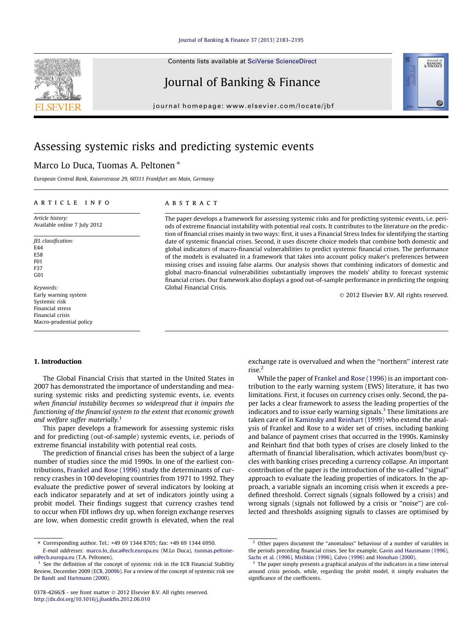Contents lists available at [SciVerse ScienceDirect](http://www.sciencedirect.com/science/journal/03784266)

## Journal of Banking & Finance

journal homepage: [www.elsevier.com/locate/jbf](http://www.elsevier.com/locate/jbf)

# Assessing systemic risks and predicting systemic events

## Marco Lo Duca, Tuomas A. Peltonen<sup>\*</sup>

European Central Bank, Kaiserstrasse 29, 60311 Frankfurt am Main, Germany

## article info

Article history: Available online 7 July 2012

JEL classification: E44 E58 F01 F37 G01 Keywords: Early warning system Systemic risk Financial stress Financial crisis

Macro-prudential policy

## ABSTRACT

The paper develops a framework for assessing systemic risks and for predicting systemic events, i.e. periods of extreme financial instability with potential real costs. It contributes to the literature on the prediction of financial crises mainly in two ways: first, it uses a Financial Stress Index for identifying the starting date of systemic financial crises. Second, it uses discrete choice models that combine both domestic and global indicators of macro-financial vulnerabilities to predict systemic financial crises. The performance of the models is evaluated in a framework that takes into account policy maker's preferences between missing crises and issuing false alarms. Our analysis shows that combining indicators of domestic and global macro-financial vulnerabilities substantially improves the models' ability to forecast systemic financial crises. Our framework also displays a good out-of-sample performance in predicting the ongoing Global Financial Crisis.

- 2012 Elsevier B.V. All rights reserved.

Journal of<br>BANKING<br>& FINANCE

## 1. Introduction

The Global Financial Crisis that started in the United States in 2007 has demonstrated the importance of understanding and measuring systemic risks and predicting systemic events, i.e. events when financial instability becomes so widespread that it impairs the functioning of the financial system to the extent that economic growth and welfare suffer materially. $^{\rm 1}$ 

This paper develops a framework for assessing systemic risks and for predicting (out-of-sample) systemic events, i.e. periods of extreme financial instability with potential real costs.

The prediction of financial crises has been the subject of a large number of studies since the mid 1990s. In one of the earliest contributions, [Frankel and Rose \(1996\)](#page-12-0) study the determinants of currency crashes in 100 developing countries from 1971 to 1992. They evaluate the predictive power of several indicators by looking at each indicator separately and at set of indicators jointly using a probit model. Their findings suggest that currency crashes tend to occur when FDI inflows dry up, when foreign exchange reserves are low, when domestic credit growth is elevated, when the real

exchange rate is overvalued and when the ''northern'' interest rate rise.2

While the paper of [Frankel and Rose \(1996\)](#page-12-0) is an important contribution to the early warning system (EWS) literature, it has two limitations. First, it focuses on currency crises only. Second, the paper lacks a clear framework to assess the leading properties of the indicators and to issue early warning signals.<sup>3</sup> These limitations are taken care of in [Kaminsky and Reinhart \(1999\)](#page-12-0) who extend the analysis of Frankel and Rose to a wider set of crises, including banking and balance of payment crises that occurred in the 1990s. Kaminsky and Reinhart find that both types of crises are closely linked to the aftermath of financial liberalisation, which activates boom/bust cycles with banking crises preceding a currency collapse. An important contribution of the paper is the introduction of the so-called ''signal'' approach to evaluate the leading properties of indicators. In the approach, a variable signals an incoming crisis when it exceeds a predefined threshold. Correct signals (signals followed by a crisis) and wrong signals (signals not followed by a crisis or "noise") are collected and thresholds assigning signals to classes are optimised by



<sup>⇑</sup> Corresponding author. Tel.: +49 69 1344 8705; fax: +49 69 1344 6950.

E-mail addresses: [marco.lo\\_duca@ecb.europa.eu](mailto:marco.lo_duca@ecb.europa.eu) (M.Lo Duca), [tuomas.peltone](mailto:tuomas.peltonen@ecb.europa.eu)[n@ecb.europa.eu](mailto:tuomas.peltonen@ecb.europa.eu) (T.A. Peltonen).

 $1$  See the definition of the concept of systemic risk in the ECB Financial Stability Review, December 2009 [\(ECB, 2009b](#page-12-0)). For a review of the concept of systemic risk see [De Bandt and Hartmann \(2000\).](#page-12-0)

<sup>0378-4266/\$ -</sup> see front matter © 2012 Elsevier B.V. All rights reserved. <http://dx.doi.org/10.1016/j.jbankfin.2012.06.010>

<sup>&</sup>lt;sup>2</sup> Other papers document the "anomalous" behaviour of a number of variables in the periods preceding financial crises. See for example, [Gavin and Hausmann \(1996\),](#page-12-0) [Sachs et al. \(1996\), Mishkin \(1996\), Calvo \(1996\)](#page-12-0) and [Honohan \(2000\).](#page-12-0)

 $3$  The paper simply presents a graphical analysis of the indicators in a time interval around crisis periods, while, regarding the probit model, it simply evaluates the significance of the coefficients.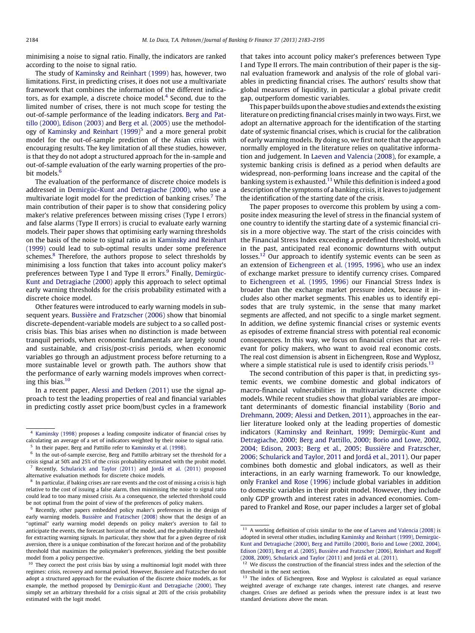minimising a noise to signal ratio. Finally, the indicators are ranked according to the noise to signal ratio.

The study of [Kaminsky and Reinhart \(1999\)](#page-12-0) has, however, two limitations. First, in predicting crises, it does not use a multivariate framework that combines the information of the different indicators, as for example, a discrete choice model. $4$  Second, due to the limited number of crises, there is not much scope for testing the out-of-sample performance of the leading indicators. [Berg and Pat](#page-12-0)[tillo \(2000\), Edison \(2003\)](#page-12-0) and [Berg et al. \(2005\)](#page-12-0) use the methodology of Kaminsky and Reinhart  $(1999)^5$  and a more general probit model for the out-of-sample prediction of the Asian crisis with encouraging results. The key limitation of all these studies, however, is that they do not adopt a structured approach for the in-sample and out-of-sample evaluation of the early warning properties of the probit models.<sup>6</sup>

The evaluation of the performance of discrete choice models is addressed in [Demirgüc-Kunt and Detragiache \(2000\),](#page-12-0) who use a multivariate logit model for the prediction of banking crises.<sup>7</sup> The main contribution of their paper is to show that considering policy maker's relative preferences between missing crises (Type I errors) and false alarms (Type II errors) is crucial to evaluate early warning models. Their paper shows that optimising early warning thresholds on the basis of the noise to signal ratio as in [Kaminsky and Reinhart](#page-12-0) [\(1999\)](#page-12-0) could lead to sub-optimal results under some preference schemes.<sup>8</sup> Therefore, the authors propose to select thresholds by minimising a loss function that takes into account policy maker's preferences between Type I and Type II errors.<sup>9</sup> Finally, [Demirgüc-](#page-12-0)[Kunt and Detragiache \(2000\)](#page-12-0) apply this approach to select optimal early warning thresholds for the crisis probability estimated with a discrete choice model.

Other features were introduced to early warning models in subsequent years. [Bussière and Fratzscher \(2006\)](#page-12-0) show that binomial discrete-dependent-variable models are subject to a so called postcrisis bias. This bias arises when no distinction is made between tranquil periods, when economic fundamentals are largely sound and sustainable, and crisis/post-crisis periods, when economic variables go through an adjustment process before returning to a more sustainable level or growth path. The authors show that the performance of early warning models improves when correcting this bias.<sup>10</sup>

In a recent paper, [Alessi and Detken \(2011\)](#page-12-0) use the signal approach to test the leading properties of real and financial variables in predicting costly asset price boom/bust cycles in a framework

<sup>6</sup> In the out-of-sample exercise, Berg and Pattillo arbitrary set the threshold for a crisis signal at 50% and 25% of the crisis probability estimated with the probit model.  $7$  Recently, [Schularick and Taylor \(2011\)](#page-12-0) and [Jordá et al. \(2011\)](#page-12-0) proposed alternative evaluation methods for discrete choice models.

<sup>8</sup> In particular, if baking crises are rare events and the cost of missing a crisis is high relative to the cost of issuing a false alarm, then minimising the noise to signal ratio could lead to too many missed crisis. As a consequence, the selected threshold could be not optimal from the point of view of the preferences of policy makers.

Recently, other papers embedded policy maker's preferences in the design of early warning models. [Bussière and Fratzscher \(2008\)](#page-12-0) show that the design of an ''optimal'' early warning model depends on policy maker's aversion to fail to anticipate the events, the forecast horizon of the model, and the probability threshold for extracting warning signals. In particular, they show that for a given degree of risk aversion, there is a unique combination of the forecast horizon and of the probability threshold that maximizes the policymaker's preferences, yielding the best possible model from a policy perspective.

that takes into account policy maker's preferences between Type I and Type II errors. The main contribution of their paper is the signal evaluation framework and analysis of the role of global variables in predicting financial crises. The authors' results show that global measures of liquidity, in particular a global private credit gap, outperform domestic variables.

This paper builds upon the above studies and extends the existing literature on predicting financial crises mainly in two ways. First, we adopt an alternative approach for the identification of the starting date of systemic financial crises, which is crucial for the calibration of early warning models. By doing so, we first note that the approach normally employed in the literature relies on qualitative information and judgement. In [Laeven and Valencia \(2008\),](#page-12-0) for example, a systemic banking crisis is defined as a period when defaults are widespread, non-performing loans increase and the capital of the banking system is exhausted.<sup>11</sup> While this definition is indeed a good description of the symptoms of a banking crisis, it leaves to judgement the identification of the starting date of the crisis.

The paper proposes to overcome this problem by using a composite index measuring the level of stress in the financial system of one country to identify the starting date of a systemic financial crisis in a more objective way. The start of the crisis coincides with the Financial Stress Index exceeding a predefined threshold, which in the past, anticipated real economic downturns with output losses.<sup>12</sup> Our approach to identify systemic events can be seen as an extension of [Eichengreen et al. \(1995, 1996\),](#page-12-0) who use an index of exchange market pressure to identify currency crises. Compared to [Eichengreen et al. \(1995, 1996\)](#page-12-0) our Financial Stress Index is broader than the exchange market pressure index, because it includes also other market segments. This enables us to identify episodes that are truly systemic, in the sense that many market segments are affected, and not specific to a single market segment. In addition, we define systemic financial crises or systemic events as episodes of extreme financial stress with potential real economic consequences. In this way, we focus on financial crises that are relevant for policy makers, who want to avoid real economic costs. The real cost dimension is absent in Eichengreen, Rose and Wyplosz, where a simple statistical rule is used to identify crisis periods.<sup>13</sup>

The second contribution of this paper is that, in predicting systemic events, we combine domestic and global indicators of macro-financial vulnerabilities in multivariate discrete choice models. While recent studies show that global variables are important determinants of domestic financial instability ([Borio and](#page-12-0) [Drehmann, 2009; Alessi and Detken, 2011\)](#page-12-0), approaches in the earlier literature looked only at the leading properties of domestic indicators [\(Kaminsky and Reinhart, 1999; Demirgüc-Kunt and](#page-12-0) [Detragiache, 2000; Berg and Pattillo, 2000; Borio and Lowe, 2002,](#page-12-0) [2004; Edison, 2003; Berg et al., 2005; Bussière and Fratzscher,](#page-12-0) [2006; Schularick and Taylor, 2011](#page-12-0) and [Jordá et al., 2011](#page-12-0)). Our paper combines both domestic and global indicators, as well as their interactions, in an early warning framework. To our knowledge, only [Frankel and Rose \(1996\)](#page-12-0) include global variables in addition to domestic variables in their probit model. However, they include only GDP growth and interest rates in advanced economies. Compared to Frankel and Rose, our paper includes a larger set of global

<sup>4</sup> [Kaminsky \(1998\)](#page-12-0) proposes a leading composite indicator of financial crises by calculating an average of a set of indicators weighted by their noise to signal ratio. In their paper, Berg and Pattillo refer to [Kaminsky et al. \(1998\).](#page-12-0)

<sup>&</sup>lt;sup>10</sup> They correct the post crisis bias by using a multinomial logit model with three regimes: crisis, recovery and normal period. However, Bussiere and Fratzscher do not adopt a structured approach for the evaluation of the discrete choice models, as for example, the method proposed by [Demirgüc-Kunt and Detragiache \(2000\).](#page-12-0) They simply set an arbitrary threshold for a crisis signal at 20% of the crisis probability estimated with the logit model.

 $^{11}\,$  A working definition of crisis similar to the one of [Laeven and Valencia \(2008\)](#page-12-0) is adopted in several other studies, including [Kaminsky and Reinhart \(1999\), Demirgüc-](#page-12-0)[Kunt and Detragiache \(2000\), Berg and Pattillo \(2000\), Borio and Lowe \(2002, 2004\),](#page-12-0) [Edison \(2003\), Berg et al. \(2005\), Bussière and Fratzscher \(2006\), Reinhart and Rogoff](#page-12-0) [\(2008, 2009\), Schularick and Taylor \(2011\)](#page-12-0) and [Jordá et al. \(2011\).](#page-12-0)

 $12$  We discuss the construction of the financial stress index and the selection of the threshold in the next section.

 $13$  The index of Eichengreen, Rose and Wyplosz is calculated as equal variance weighted average of exchange rate changes, interest rate changes, and reserve changes. Crises are defined as periods when the pressure index is at least two standard deviations above the mean.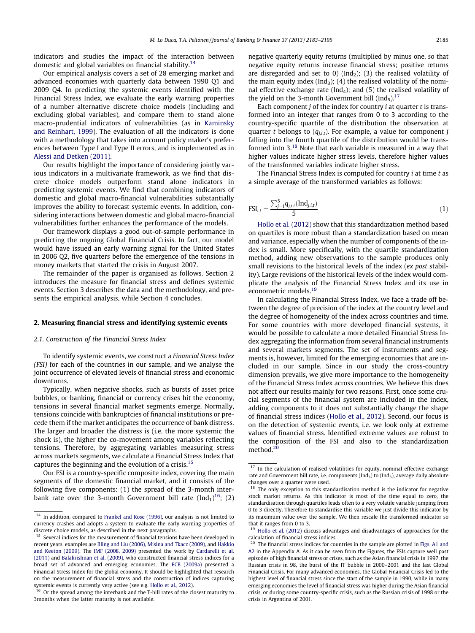indicators and studies the impact of the interaction between domestic and global variables on financial stability.14

Our empirical analysis covers a set of 28 emerging market and advanced economies with quarterly data between 1990 Q1 and 2009 Q4. In predicting the systemic events identified with the Financial Stress Index, we evaluate the early warning properties of a number alternative discrete choice models (including and excluding global variables), and compare them to stand alone macro-prudential indicators of vulnerabilities (as in [Kaminsky](#page-12-0) [and Reinhart, 1999\)](#page-12-0). The evaluation of all the indicators is done with a methodology that takes into account policy maker's preferences between Type I and Type II errors, and is implemented as in [Alessi and Detken \(2011\)](#page-12-0).

Our results highlight the importance of considering jointly various indicators in a multivariate framework, as we find that discrete choice models outperform stand alone indicators in predicting systemic events. We find that combining indicators of domestic and global macro-financial vulnerabilities substantially improves the ability to forecast systemic events. In addition, considering interactions between domestic and global macro-financial vulnerabilities further enhances the performance of the models.

Our framework displays a good out-of-sample performance in predicting the ongoing Global Financial Crisis. In fact, our model would have issued an early warning signal for the United States in 2006 Q2, five quarters before the emergence of the tensions in money markets that started the crisis in August 2007.

The remainder of the paper is organised as follows. Section 2 introduces the measure for financial stress and defines systemic events. Section 3 describes the data and the methodology, and presents the empirical analysis, while Section 4 concludes.

## 2. Measuring financial stress and identifying systemic events

## 2.1. Construction of the Financial Stress Index

To identify systemic events, we construct a Financial Stress Index (FSI) for each of the countries in our sample, and we analyse the joint occurrence of elevated levels of financial stress and economic downturns.

Typically, when negative shocks, such as bursts of asset price bubbles, or banking, financial or currency crises hit the economy, tensions in several financial market segments emerge. Normally, tensions coincide with bankruptcies of financial institutions or precede them if the market anticipates the occurrence of bank distress. The larger and broader the distress is (i.e. the more systemic the shock is), the higher the co-movement among variables reflecting tensions. Therefore, by aggregating variables measuring stress across markets segments, we calculate a Financial Stress Index that captures the beginning and the evolution of a crisis.15

Our FSI is a country-specific composite index, covering the main segments of the domestic financial market, and it consists of the following five components: (1) the spread of the 3-month interbank rate over the 3-month Government bill rate  $(Ind<sub>1</sub>)<sup>16</sup>$ ; (2)

negative quarterly equity returns (multiplied by minus one, so that negative equity returns increase financial stress; positive returns are disregarded and set to 0) ( $Ind_2$ ); (3) the realised volatility of the main equity index (Ind<sub>3</sub>); (4) the realised volatility of the nominal effective exchange rate (Ind<sub>4</sub>); and (5) the realised volatility of the yield on the 3-month Government bill (Ind<sub>5</sub>).<sup>17</sup>

Each component  $j$  of the index for country  $i$  at quarter  $t$  is transformed into an integer that ranges from 0 to 3 according to the country-specific quartile of the distribution the observation at quarter t belongs to  $(q_{j,i,t})$ . For example, a value for component j falling into the fourth quartile of the distribution would be transformed into 3.<sup>18</sup> Note that each variable is measured in a way that higher values indicate higher stress levels, therefore higher values of the transformed variables indicate higher stress.

The Financial Stress Index is computed for country  $i$  at time  $t$  as a simple average of the transformed variables as follows:

$$
FSI_{i,t} = \frac{\sum_{j=1}^{5} q_{j,i,t} (Ind_{j,i,t})}{5}
$$
 (1)

[Hollo et al. \(2012\)](#page-12-0) show that this standardization method based on quartiles is more robust than a standardization based on mean and variance, especially when the number of components of the index is small. More specifically, with the quartile standardization method, adding new observations to the sample produces only small revisions to the historical levels of the index (ex post stability). Large revisions of the historical levels of the index would complicate the analysis of the Financial Stress Index and its use in econometric models.19

In calculating the Financial Stress Index, we face a trade off between the degree of precision of the index at the country level and the degree of homogeneity of the index across countries and time. For some countries with more developed financial systems, it would be possible to calculate a more detailed Financial Stress Index aggregating the information from several financial instruments and several markets segments. The set of instruments and segments is, however, limited for the emerging economies that are included in our sample. Since in our study the cross-country dimension prevails, we give more importance to the homogeneity of the Financial Stress Index across countries. We believe this does not affect our results mainly for two reasons. First, once some crucial segments of the financial system are included in the index, adding components to it does not substantially change the shape of financial stress indices ([Hollo et al., 2012\)](#page-12-0). Second, our focus is on the detection of systemic events, i.e. we look only at extreme values of financial stress. Identified extreme values are robust to the composition of the FSI and also to the standardization method.<sup>20</sup>

<sup>&</sup>lt;sup>14</sup> In addition, compared to [Frankel and Rose \(1996\)](#page-12-0), our analysis is not limited to currency crashes and adopts a system to evaluate the early warning properties of discrete choice models, as described in the next paragraphs.

<sup>&</sup>lt;sup>15</sup> Several indices for the measurement of financial tensions have been developed in recent years, examples are [Illing and Liu \(2006\), Misina and Tkacz \(2009\)](#page-12-0), and [Hakkio](#page-12-0) [and Keeton \(2009\)](#page-12-0). The [IMF \(2008, 2009\)](#page-12-0) presented the work by [Cardarelli et al.](#page-12-0) [\(2011\)](#page-12-0) and [Balakrishnan et al. \(2009\)](#page-12-0), who constructed financial stress indices for a broad set of advanced and emerging economies. The [ECB \(2009a\)](#page-12-0) presented a Financial Stress Index for the global economy. It should be highlighted that research on the measurement of financial stress and the construction of indices capturing systemic events is currently very active (see e.g. [Hollo et al., 2012\)](#page-12-0).

<sup>&</sup>lt;sup>16</sup> Or the spread among the interbank and the T-bill rates of the closest maturity to 3months when the latter maturity is not available.

 $17$  In the calculation of realised volatilities for equity, nominal effective exchange rate and Government bill rate, i.e. components ( $\text{Ind}_3$ ) to ( $\text{Ind}_5$ ), average daily absolute changes over a quarter were used.

<sup>&</sup>lt;sup>18</sup> The only exception to this standardisation method is the indicator for negative stock market returns. As this indicator is most of the time equal to zero, the standardisation through quartiles leads often to a very volatile variable jumping from 0 to 3 directly. Therefore to standardise this variable we just divide this indicator by its maximum value over the sample. We then rescale the transformed indicator so that it ranges from 0 to 3.

<sup>&</sup>lt;sup>19</sup> [Hollo et al. \(2012\)](#page-12-0) discuss advantages and disadvantages of approaches for the calculation of financial stress indices.

The financial stress indices for countries in the sample are plotted in [Figs. A1 and](#page-9-0) [A2](#page-9-0) in the Appendix A. As it can be seen from the Figures, the FSIs capture well past episodes of high financial stress or crises, such as the Asian financial crisis in 1997, the Russian crisis in 98, the burst of the IT bubble in 2000–2001 and the last Global Financial Crisis. For many advanced economies, the Global Financial Crisis led to the highest level of financial stress since the start of the sample in 1990, while in many emerging economies the level of financial stress was higher during the Asian financial crisis, or during some country-specific crisis, such as the Russian crisis of 1998 or the crisis in Argentina of 2001.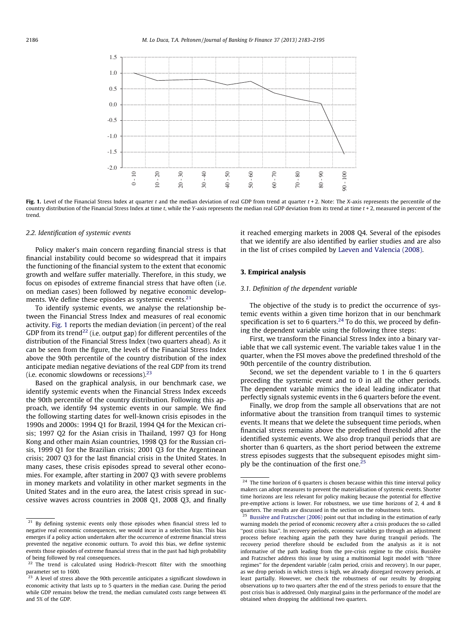

Fig. 1. Level of the Financial Stress Index at quarter t and the median deviation of real GDP from trend at quarter  $t + 2$ . Note: The X-axis represents the percentile of the country distribution of the Financial Stress Index at time t, while the Y-axis represents the median real GDP deviation from its trend at time t + 2, measured in percent of the trend.

## 2.2. Identification of systemic events

Policy maker's main concern regarding financial stress is that financial instability could become so widespread that it impairs the functioning of the financial system to the extent that economic growth and welfare suffer materially. Therefore, in this study, we focus on episodes of extreme financial stress that have often (i.e. on median cases) been followed by negative economic developments. We define these episodes as systemic events. $21$ 

To identify systemic events, we analyse the relationship between the Financial Stress Index and measures of real economic activity. Fig. 1 reports the median deviation (in percent) of the real GDP from its trend<sup>22</sup> (i.e. output gap) for different percentiles of the distribution of the Financial Stress Index (two quarters ahead). As it can be seen from the figure, the levels of the Financial Stress Index above the 90th percentile of the country distribution of the index anticipate median negative deviations of the real GDP from its trend (i.e. economic slowdowns or recessions). $23$ 

Based on the graphical analysis, in our benchmark case, we identify systemic events when the Financial Stress Index exceeds the 90th percentile of the country distribution. Following this approach, we identify 94 systemic events in our sample. We find the following starting dates for well-known crisis episodes in the 1990s and 2000s: 1994 Q1 for Brazil, 1994 Q4 for the Mexican crisis; 1997 Q2 for the Asian crisis in Thailand, 1997 Q3 for Hong Kong and other main Asian countries, 1998 Q3 for the Russian crisis, 1999 Q1 for the Brazilian crisis; 2001 Q3 for the Argentinean crisis; 2007 Q3 for the last financial crisis in the United States. In many cases, these crisis episodes spread to several other economies. For example, after starting in 2007 Q3 with severe problems in money markets and volatility in other market segments in the United States and in the euro area, the latest crisis spread in successive waves across countries in 2008 Q1, 2008 Q3, and finally it reached emerging markets in 2008 Q4. Several of the episodes that we identify are also identified by earlier studies and are also in the list of crises compiled by [Laeven and Valencia \(2008\).](#page-12-0)

## 3. Empirical analysis

## 3.1. Definition of the dependent variable

The objective of the study is to predict the occurrence of systemic events within a given time horizon that in our benchmark specification is set to 6 quarters. $^{24}$  To do this, we proceed by defining the dependent variable using the following three steps:

First, we transform the Financial Stress Index into a binary variable that we call systemic event. The variable takes value 1 in the quarter, when the FSI moves above the predefined threshold of the 90th percentile of the country distribution.

Second, we set the dependent variable to 1 in the 6 quarters preceding the systemic event and to 0 in all the other periods. The dependent variable mimics the ideal leading indicator that perfectly signals systemic events in the 6 quarters before the event.

Finally, we drop from the sample all observations that are not informative about the transition from tranquil times to systemic events. It means that we delete the subsequent time periods, when financial stress remains above the predefined threshold after the identified systemic events. We also drop tranquil periods that are shorter than 6 quarters, as the short period between the extreme stress episodes suggests that the subsequent episodes might simply be the continuation of the first one. $25$ 

 $21$  By defining systemic events only those episodes when financial stress led to negative real economic consequences, we would incur in a selection bias. This bias emerges if a policy action undertaken after the occurrence of extreme financial stress prevented the negative economic outturn. To avoid this bias, we define systemic events those episodes of extreme financial stress that in the past had high probability of being followed by real consequences.

<sup>&</sup>lt;sup>22</sup> The trend is calculated using Hodrick–Prescott filter with the smoothing parameter set to 1600.

 $23$  A level of stress above the 90th percentile anticipates a significant slowdown in economic activity that lasts up to 5 quarters in the median case. During the period while GDP remains below the trend, the median cumulated costs range between 4% and 5% of the GDP.

 $24$  The time horizon of 6 quarters is chosen because within this time interval policy makers can adopt measures to prevent the materialisation of systemic events. Shorter time horizons are less relevant for policy making because the potential for effective pre-emptive actions is lower. For robustness, we use time horizons of 2, 4 and 8 quarters. The results are discussed in the section on the robustness tests.

<sup>&</sup>lt;sup>25</sup> [Bussière and Fratzscher \(2006\)](#page-12-0) point out that including in the estimation of early warning models the period of economic recovery after a crisis produces the so called ''post crisis bias''. In recovery periods, economic variables go through an adjustment process before reaching again the path they have during tranquil periods. The recovery period therefore should be excluded from the analysis as it is not informative of the path leading from the pre-crisis regime to the crisis. Bussière and Fratzscher address this issue by using a multinomial logit model with ''three regimes'' for the dependent variable (calm period, crisis and recovery). In our paper, as we drop periods in which stress is high, we already disregard recovery periods, at least partially. However, we check the robustness of our results by dropping observations up to two quarters after the end of the stress periods to ensure that the post crisis bias is addressed. Only marginal gains in the performance of the model are obtained when dropping the additional two quarters.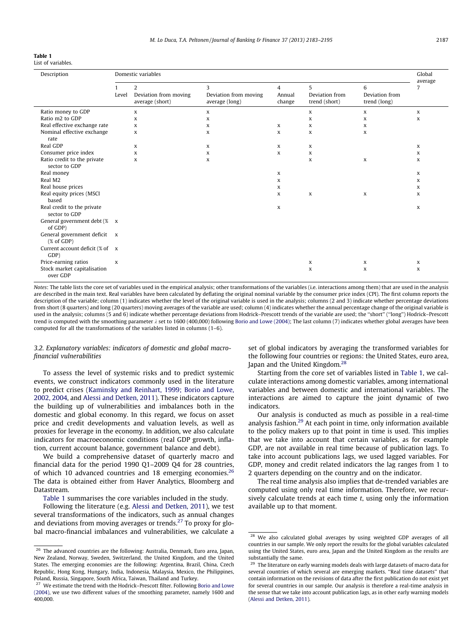<span id="page-4-0"></span>

| n<br>ıa<br>ı<br>ı |  |
|-------------------|--|
|-------------------|--|

List of variables.

| Description                                                                             | Domestic variables |                                                            |                                              |                       |                                      |                                     | Global<br>average |
|-----------------------------------------------------------------------------------------|--------------------|------------------------------------------------------------|----------------------------------------------|-----------------------|--------------------------------------|-------------------------------------|-------------------|
|                                                                                         | Level              | $\overline{2}$<br>Deviation from moving<br>average (short) | 3<br>Deviation from moving<br>average (long) | 4<br>Annual<br>change | 5<br>Deviation from<br>trend (short) | 6<br>Deviation from<br>trend (long) | 7                 |
| Ratio money to GDP                                                                      |                    | X                                                          | x                                            |                       | x                                    | X                                   | x                 |
| Ratio m2 to GDP                                                                         |                    | X                                                          | x                                            |                       | X                                    | X                                   | x                 |
| Real effective exchange rate                                                            |                    | X                                                          | X                                            | x                     | X                                    | X                                   |                   |
| Nominal effective exchange                                                              |                    | X                                                          | X                                            | x                     | x                                    | x                                   |                   |
| rate                                                                                    |                    |                                                            |                                              |                       |                                      |                                     |                   |
| Real GDP                                                                                |                    | X                                                          | X                                            | x                     | X                                    |                                     | $\mathbf{x}$      |
| Consumer price index                                                                    |                    | X                                                          | X                                            | x                     | X                                    |                                     | X                 |
| Ratio credit to the private<br>sector to GDP                                            |                    | X                                                          | x                                            |                       | x                                    | X                                   | x                 |
| Real money                                                                              |                    |                                                            |                                              | x                     |                                      |                                     | X                 |
| Real M2                                                                                 |                    |                                                            |                                              | X                     |                                      |                                     | x                 |
| Real house prices                                                                       |                    |                                                            |                                              | X                     |                                      |                                     | X                 |
| Real equity prices (MSCI<br>based                                                       |                    |                                                            |                                              | x                     | X                                    | X                                   | X                 |
| Real credit to the private<br>sector to GDP                                             |                    |                                                            |                                              | X                     |                                      |                                     | X                 |
| General government debt (% x<br>of GDP)                                                 |                    |                                                            |                                              |                       |                                      |                                     |                   |
| General government deficit x<br>$(% \mathcal{L}_{0}^{\ast} \mathcal{L}_{1})$ (% of GDP) |                    |                                                            |                                              |                       |                                      |                                     |                   |
| Current account deficit (% of x<br>GDP)                                                 |                    |                                                            |                                              |                       |                                      |                                     |                   |
| Price-earning ratios<br>Stock market capitalisation<br>over GDP                         | X                  |                                                            |                                              |                       | X<br>x                               | x<br>X                              | x<br>X            |

Notes: The table lists the core set of variables used in the empirical analysis; other transformations of the variables (i.e. interactions among them) that are used in the analysis are described in the main text. Real variables have been calculated by deflating the original nominal variable by the consumer price index (CPI). The first column reports the description of the variable; column (1) indicates whether the level of the original variable is used in the analysis; columns (2 and 3) indicate whether percentage deviations from short (8 quarters) and long (20 quarters) moving averages of the variable are used; column (4) indicates whether the annual percentage change of the original variable is used in the analysis; columns (5 and 6) indicate whether percentage deviations from Hodrick–Prescott trends of the variable are used; the "short" ("long") Hodrick–Prescott trend is computed with the smoothing parameter  $\lambda$  set to 1600 (400,000) following [Borio and Lowe \(2004\)](#page-12-0); The last column (7) indicates whether global averages have been computed for all the transformations of the variables listed in columns (1–6).

## 3.2. Explanatory variables: indicators of domestic and global macrofinancial vulnerabilities

To assess the level of systemic risks and to predict systemic events, we construct indicators commonly used in the literature to predict crises [\(Kaminsky and Reinhart, 1999; Borio and Lowe,](#page-12-0) [2002, 2004](#page-12-0), and [Alessi and Detken, 2011](#page-12-0)). These indicators capture the building up of vulnerabilities and imbalances both in the domestic and global economy. In this regard, we focus on asset price and credit developments and valuation levels, as well as proxies for leverage in the economy. In addition, we also calculate indicators for macroeconomic conditions (real GDP growth, inflation, current account balance, government balance and debt).

We build a comprehensive dataset of quarterly macro and financial data for the period 1990 Q1–2009 Q4 for 28 countries, of which 10 advanced countries and 18 emerging economies.<sup>26</sup> The data is obtained either from Haver Analytics, Bloomberg and Datastream.

Table 1 summarises the core variables included in the study.

Following the literature (e.g. [Alessi and Detken, 2011\)](#page-12-0), we test several transformations of the indicators, such as annual changes and deviations from moving averages or trends.<sup>27</sup> To proxy for global macro-financial imbalances and vulnerabilities, we calculate a

set of global indicators by averaging the transformed variables for the following four countries or regions: the United States, euro area, Japan and the United Kingdom.<sup>28</sup>

Starting from the core set of variables listed in Table 1, we calculate interactions among domestic variables, among international variables and between domestic and international variables. The interactions are aimed to capture the joint dynamic of two indicators.

Our analysis is conducted as much as possible in a real-time analysis fashion.<sup>29</sup> At each point in time, only information available to the policy makers up to that point in time is used. This implies that we take into account that certain variables, as for example GDP, are not available in real time because of publication lags. To take into account publications lags, we used lagged variables. For GDP, money and credit related indicators the lag ranges from 1 to 2 quarters depending on the country and on the indicator.

The real time analysis also implies that de-trended variables are computed using only real time information. Therefore, we recursively calculate trends at each time  $t$ , using only the information available up to that moment.

 $26$  The advanced countries are the following: Australia, Denmark, Euro area, Japan, New Zealand, Norway, Sweden, Switzerland, the United Kingdom, and the United States. The emerging economies are the following: Argentina, Brazil, China, Czech Republic, Hong Kong, Hungary, India, Indonesia, Malaysia, Mexico, the Philippines, Poland, Russia, Singapore, South Africa, Taiwan, Thailand and Turkey.

 $27$  We estimate the trend with the Hodrick–Prescott filter. Following [Borio and Lowe](#page-12-0) [\(2004\),](#page-12-0) we use two different values of the smoothing parameter, namely 1600 and 400,000.

<sup>&</sup>lt;sup>28</sup> We also calculated global averages by using weighted GDP averages of all countries in our sample. We only report the results for the global variables calculated using the United States, euro area, Japan and the United Kingdom as the results are substantially the same.

<sup>&</sup>lt;sup>29</sup> The literature on early warning models deals with large datasets of macro data for several countries of which several are emerging markets. ''Real time datasets'' that contain information on the revisions of data after the first publication do not exist yet for several countries in our sample. Our analysis is therefore a real-time analysis in the sense that we take into account publication lags, as in other early warning models ([Alessi and Detken, 2011\)](#page-12-0).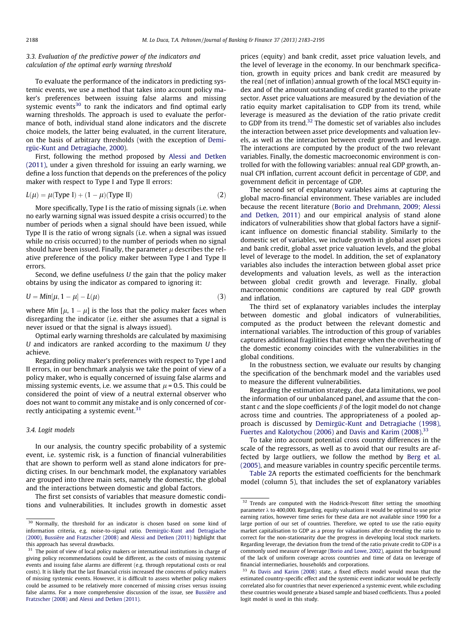## 3.3. Evaluation of the predictive power of the indicators and calculation of the optimal early warning threshold

To evaluate the performance of the indicators in predicting systemic events, we use a method that takes into account policy maker's preferences between issuing false alarms and missing systemic events<sup>30</sup> to rank the indicators and find optimal early warning thresholds. The approach is used to evaluate the performance of both, individual stand alone indicators and the discrete choice models, the latter being evaluated, in the current literature, on the basis of arbitrary thresholds (with the exception of [Demi](#page-12-0)[rgüc-Kunt and Detragiache, 2000](#page-12-0)).

First, following the method proposed by [Alessi and Detken](#page-12-0) [\(2011\),](#page-12-0) under a given threshold for issuing an early warning, we define a loss function that depends on the preferences of the policy maker with respect to Type I and Type II errors:

$$
L(\mu) = \mu(\text{Type I}) + (1 - \mu)(\text{Type II})\tag{2}
$$

More specifically, Type I is the ratio of missing signals (i.e. when no early warning signal was issued despite a crisis occurred) to the number of periods when a signal should have been issued, while Type II is the ratio of wrong signals (i.e. when a signal was issued while no crisis occurred) to the number of periods when no signal should have been issued. Finally, the parameter  $\mu$  describes the relative preference of the policy maker between Type I and Type II errors.

Second, we define usefulness U the gain that the policy maker obtains by using the indicator as compared to ignoring it:

$$
U = Min[\mu, 1 - \mu] - L(\mu) \tag{3}
$$

where Min  $[\mu, 1 - \mu]$  is the loss that the policy maker faces when disregarding the indicator (i.e. either she assumes that a signal is never issued or that the signal is always issued).

Optimal early warning thresholds are calculated by maximising  $U$  and indicators are ranked according to the maximum  $U$  they achieve.

Regarding policy maker's preferences with respect to Type I and II errors, in our benchmark analysis we take the point of view of a policy maker, who is equally concerned of issuing false alarms and missing systemic events, i.e. we assume that  $\mu$  = 0.5. This could be considered the point of view of a neutral external observer who does not want to commit any mistake and is only concerned of correctly anticipating a systemic event.<sup>31</sup>

## 3.4. Logit models

In our analysis, the country specific probability of a systemic event, i.e. systemic risk, is a function of financial vulnerabilities that are shown to perform well as stand alone indicators for predicting crises. In our benchmark model, the explanatory variables are grouped into three main sets, namely the domestic, the global and the interactions between domestic and global factors.

The first set consists of variables that measure domestic conditions and vulnerabilities. It includes growth in domestic asset prices (equity) and bank credit, asset price valuation levels, and the level of leverage in the economy. In our benchmark specification, growth in equity prices and bank credit are measured by the real (net of inflation) annual growth of the local MSCI equity index and of the amount outstanding of credit granted to the private sector. Asset price valuations are measured by the deviation of the ratio equity market capitalisation to GDP from its trend, while leverage is measured as the deviation of the ratio private credit to GDP from its trend.<sup>32</sup> The domestic set of variables also includes the interaction between asset price developments and valuation levels, as well as the interaction between credit growth and leverage. The interactions are computed by the product of the two relevant variables. Finally, the domestic macroeconomic environment is controlled for with the following variables: annual real GDP growth, annual CPI inflation, current account deficit in percentage of GDP, and government deficit in percentage of GDP.

The second set of explanatory variables aims at capturing the global macro-financial environment. These variables are included because the recent literature ([Borio and Drehmann, 2009; Alessi](#page-12-0) [and Detken, 2011](#page-12-0)) and our empirical analysis of stand alone indicators of vulnerabilities show that global factors have a significant influence on domestic financial stability. Similarly to the domestic set of variables, we include growth in global asset prices and bank credit, global asset price valuation levels, and the global level of leverage to the model. In addition, the set of explanatory variables also includes the interaction between global asset price developments and valuation levels, as well as the interaction between global credit growth and leverage. Finally, global macroeconomic conditions are captured by real GDP growth and inflation.

The third set of explanatory variables includes the interplay between domestic and global indicators of vulnerabilities, computed as the product between the relevant domestic and international variables. The introduction of this group of variables captures additional fragilities that emerge when the overheating of the domestic economy coincides with the vulnerabilities in the global conditions.

In the robustness section, we evaluate our results by changing the specification of the benchmark model and the variables used to measure the different vulnerabilities.

Regarding the estimation strategy, due data limitations, we pool the information of our unbalanced panel, and assume that the constant c and the slope coefficients  $\beta$  of the logit model do not change across time and countries. The appropriateness of a pooled approach is discussed by [Demirgüc-Kunt and Detragiache \(1998\),](#page-12-0) [Fuertes and Kalotychou \(2006\)](#page-12-0) and [Davis and Karim \(2008\).](#page-12-0)<sup>33</sup>

To take into account potential cross country differences in the scale of the regressors, as well as to avoid that our results are affected by large outliers, we follow the method by [Berg et al.](#page-12-0) [\(2005\),](#page-12-0) and measure variables in country specific percentile terms.

[Table 2](#page-6-0)A reports the estimated coefficients for the benchmark model (column 5), that includes the set of explanatory variables

<sup>&</sup>lt;sup>30</sup> Normally, the threshold for an indicator is chosen based on some kind of information criteria, e.g. noise-to-signal ratio. [Demirgüc-Kunt and Detragiache](#page-12-0) [\(2000\), Bussière and Fratzscher \(2008\)](#page-12-0) and [Alessi and Detken \(2011\)](#page-12-0) highlight that this approach has several drawbacks.

<sup>&</sup>lt;sup>31</sup> The point of view of local policy makers or international institutions in charge of giving policy recommendations could be different, as the costs of missing systemic events and issuing false alarms are different (e.g. through reputational costs or real costs). It is likely that the last financial crisis increased the concerns of policy makers of missing systemic events. However, it is difficult to assess whether policy makers could be assumed to be relatively more concerned of missing crises versus issuing false alarms. For a more comprehensive discussion of the issue, see [Bussière and](#page-12-0) [Fratzscher \(2008\)](#page-12-0) and [Alessi and Detken \(2011\).](#page-12-0)

<sup>&</sup>lt;sup>32</sup> Trends are computed with the Hodrick-Prescott filter setting the smoothing parameter  $\lambda$  to 400,000. Regarding, equity valuations it would be optimal to use price earning ratios, however time series for these data are not available since 1990 for a large portion of our set of countries. Therefore, we opted to use the ratio equity market capitalisation to GDP as a proxy for valuations after de-trending the ratio to correct for the non-stationarity due the progress in developing local stock markets. Regarding leverage, the deviation from the trend of the ratio private credit to GDP is a commonly used measure of leverage [\(Borio and Lowe, 2002\)](#page-12-0), against the background of the lack of uniform coverage across countries and time of data on leverage of financial intermediaries, households and corporations.

<sup>&</sup>lt;sup>33</sup> As [Davis and Karim \(2008\)](#page-12-0) state, a fixed effects model would mean that the estimated country-specific effect and the systemic event indicator would be perfectly correlated also for countries that never experienced a systemic event, while excluding these countries would generate a biased sample and biased coefficients. Thus a pooled logit model is used in this study.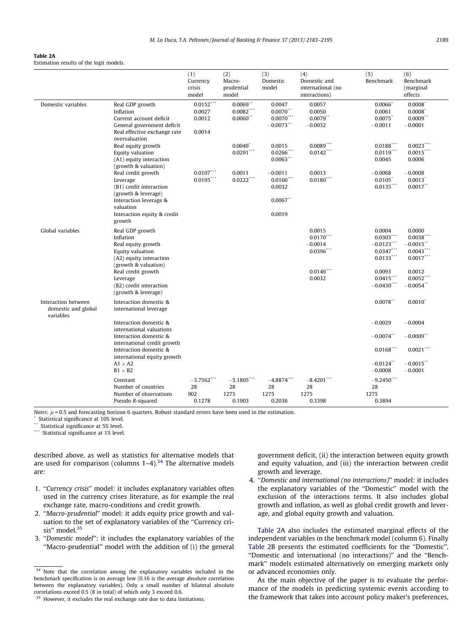### <span id="page-6-0"></span>Table 2A

Estimation results of the logit models.

|                                            |                                                                                                                                                                                                               | (1)<br>Currency<br>crisis<br>model        | (2)<br>Macro-<br>prudential<br>model      | (3)<br>Domestic<br>model                             | (4)<br>Domestic and<br>international (no<br>interactions)                    | (5)<br>Benchmark                                                                                             | (6)<br>Benchmark<br>(marginal<br>effects                                                                       |
|--------------------------------------------|---------------------------------------------------------------------------------------------------------------------------------------------------------------------------------------------------------------|-------------------------------------------|-------------------------------------------|------------------------------------------------------|------------------------------------------------------------------------------|--------------------------------------------------------------------------------------------------------------|----------------------------------------------------------------------------------------------------------------|
| Domestic variables                         | Real GDP growth<br>Inflation<br>Current account deficit<br>General government deficit<br>Real effective exchange rate                                                                                         | $0.0152***$<br>0.0027<br>0.0012<br>0.0014 | $0.0069$ **<br>$0.0082***$<br>$0.0060$ ** | 0.0047<br>$0.0070$ **<br>$0.0070***$<br>$-0.0073***$ | 0.0057<br>0.0050<br>$0.0079$ **<br>$-0.0032$                                 | 0.0066<br>0.0061<br>$0.0075$ <sup>*</sup><br>$-0.0011$                                                       | $0.0008$ <sup>*</sup><br>$0.0008$ <sup>*</sup><br>$0.0009$ **<br>$-0.0001$                                     |
|                                            | overvaluation<br>Real equity growth<br>Equity valuation<br>(A1) equity interaction<br>(growth & valuation)                                                                                                    |                                           | $0.0049*$<br>$0.0291$ ***                 | 0.0015<br>$0.0266$ ***<br>$0.0063$ **                | 0.0089<br>$0.0142$ ***                                                       | $0.0188***$<br>$0.0119***$<br>0.0045                                                                         | $0.0023***$<br>$0.0015$ ***<br>0.0006                                                                          |
|                                            | Real credit growth<br>Leverage<br>(B1) credit interaction<br>(growth & leverage)                                                                                                                              | $0.0107***$<br>$0.0195***$                | 0.0011<br>$0.0222***$                     | $-0.0011$<br>$0.0160***$<br>0.0032                   | 0.0013<br>$0.0180***$                                                        | $-0.0068$<br>$0.0105$ <sup>*</sup><br>$0.0135***$                                                            | $-0.0008$<br>$0.0013$ <sup>*</sup><br>$0.0017$ **                                                              |
|                                            | Interaction leverage &<br>valuation<br>Interaction equity & credit<br>growth                                                                                                                                  |                                           |                                           | $0.0067$ **<br>0.0019                                |                                                                              |                                                                                                              |                                                                                                                |
| Global variables                           | Real GDP growth<br>Inflation<br>Real equity growth<br>Equity valuation<br>(A2) equity interaction<br>(growth & valuation)<br>Real credit growth<br>Leverage<br>(B2) credit interaction<br>(growth & leverage) |                                           |                                           |                                                      | 0.0015<br>$0.0170$ ***<br>$-0.0014$<br>$0.0396$ ***<br>$0.0146***$<br>0.0032 | 0.0004<br>$0.0303***$<br>$-0.0123***$<br>$0.0347***$<br>$0.0133***$<br>0.0093<br>$0.0415***$<br>$-0.0430***$ | 0.0000<br>$0.0038***$<br>$-0.0015$ **<br>$0.0043$ ***<br>$0.0017$ ***<br>0.0012<br>$0.0052***$<br>$-0.0054$ ** |
| Interaction between<br>domestic and global | Interaction domestic &<br>international leverage                                                                                                                                                              |                                           |                                           |                                                      |                                                                              | $0.0078$ **                                                                                                  | $0.0010^*$                                                                                                     |
| variables                                  | Interaction domestic &<br>international valuations                                                                                                                                                            |                                           |                                           |                                                      |                                                                              | $-0.0029$                                                                                                    | $-0.0004$                                                                                                      |
|                                            | Interaction domestic &<br>international credit growth                                                                                                                                                         |                                           |                                           |                                                      |                                                                              | $-0.0074$ **                                                                                                 | $-0.0009$ **                                                                                                   |
|                                            | Interaction domestic &<br>international equity growth<br>$A1 \times A2$<br>$B1 \times B2$                                                                                                                     |                                           |                                           |                                                      |                                                                              | $0.0168***$<br>$-0.0124$<br>$-0.0008$                                                                        | $0.0021$ ***<br>$-0.0015$ **<br>$-0.0001$                                                                      |
|                                            | Constant<br>Number of countries<br>Number of observations<br>Pseudo R-squared                                                                                                                                 | $-3.7562***$<br>28<br>902<br>0.1278       | $-5.1805***$<br>28<br>1275<br>0.1903      | $-4.8874***$<br>28<br>1275<br>0.2036                 | $-8.4201$ ***<br>28<br>1275<br>0.3398                                        | $-9.2450***$<br>28<br>1275<br>0.3894                                                                         |                                                                                                                |

Notes:  $\mu$  = 0.5 and forecasting horizon 6 quarters. Robust standard errors have been used in the estimation.

\* Statistical significance at 10% level.

Statistical significance at 5% level.

\*\*\* Statistical significance at 1% level.

described above, as well as statistics for alternative models that are used for comparison (columns  $1-4$ ).<sup>34</sup> The alternative models are:

- 1. "Currency crisis" model: it includes explanatory variables often used in the currency crises literature, as for example the real exchange rate, macro-conditions and credit growth.
- 2. ''Macro-prudential'' model: it adds equity price growth and valuation to the set of explanatory variables of the ''Currency crisis" model.<sup>35</sup>
- 3. ''Domestic model'': it includes the explanatory variables of the ''Macro-prudential'' model with the addition of (i) the general

government deficit, (ii) the interaction between equity growth and equity valuation, and (iii) the interaction between credit growth and leverage.

4. ''Domestic and international (no interactions)'' model: it includes the explanatory variables of the ''Domestic'' model with the exclusion of the interactions terms. It also includes global growth and inflation, as well as global credit growth and leverage, and global equity growth and valuation.

Table 2A also includes the estimated marginal effects of the independent variables in the benchmark model (column 6). Finally [Table 2](#page-7-0)B presents the estimated coefficients for the ''Domestic'', ''Domestic and international (no interactions)'' and the ''Benchmark'' models estimated alternatively on emerging markets only or advanced economies only.

As the main objective of the paper is to evaluate the performance of the models in predicting systemic events according to the framework that takes into account policy maker's preferences,

<sup>&</sup>lt;sup>34</sup> Note that the correlation among the explanatory variables included in the benchmark specification is on average low (0.16 is the average absolute correlation between the explanatory variables). Only a small number of bilateral absolute correlations exceed 0.5 (8 in total) of which only 3 exceed 0.6.

<sup>&</sup>lt;sup>35</sup> However, it excludes the real exchange rate due to data limitations.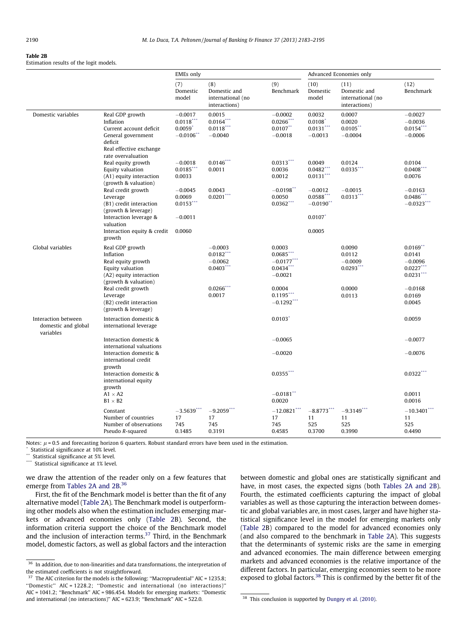#### <span id="page-7-0"></span>Table 2B

Estimation results of the logit models.

|                                                         |                                                                                                                           | <b>EMEs only</b>                                      |                                                           |                                                                      | Advanced Economies only                             |                                                            |                                                                  |
|---------------------------------------------------------|---------------------------------------------------------------------------------------------------------------------------|-------------------------------------------------------|-----------------------------------------------------------|----------------------------------------------------------------------|-----------------------------------------------------|------------------------------------------------------------|------------------------------------------------------------------|
|                                                         |                                                                                                                           | (7)<br>Domestic<br>model                              | (8)<br>Domestic and<br>international (no<br>interactions) | (9)<br>Benchmark                                                     | (10)<br>Domestic<br>model                           | (11)<br>Domestic and<br>international (no<br>interactions) | (12)<br>Benchmark                                                |
| Domestic variables                                      | Real GDP growth<br>Inflation<br>Current account deficit<br>General government<br>deficit<br>Real effective exchange       | $-0.0017$<br>$0.0118$ ***<br>$0.0059*$<br>$-0.0106**$ | 0.0015<br>$0.0164$ ***<br>$0.0118$ ***<br>$-0.0040$       | $-0.0002$<br>$0.0266$ ***<br>$0.0107$ **<br>$-0.0018$                | 0.0032<br>0.0108<br>$0.0131***$<br>$-0.0013$        | 0.0007<br>0.0020<br>$0.0105$ **<br>$-0.0004$               | $-0.0027$<br>$-0.0036$<br>$0.0154$ ***<br>$-0.0006$              |
|                                                         | rate overvaluation<br>Real equity growth<br>Equity valuation<br>(A1) equity interaction<br>(growth & valuation)           | $-0.0018$<br>$0.0185$ ***<br>0.0033                   | $0.0146$ ***<br>0.0011                                    | $0.0313***$<br>0.0036<br>0.0012                                      | 0.0049<br>$0.0482***$<br>$0.0131***$                | 0.0124<br>$0.0335$ ***                                     | 0.0104<br>0.0408"<br>0.0076                                      |
|                                                         | Real credit growth<br>Leverage<br>(B1) credit interaction<br>(growth & leverage)                                          | $-0.0045$<br>0.0069<br>$0.0153***$                    | 0.0043<br>$0.0201$ ***                                    | $-0.0198$ **<br>0.0050<br>$0.0362***$                                | $-0.0012$<br>$0.0588***$<br>$-0.0190$ <sup>**</sup> | $-0.0015$<br>$0.0313$ ***                                  | $-0.0163$<br>$0.0486$ **<br>$-0.0323$ **                         |
|                                                         | Interaction leverage &<br>valuation<br>Interaction equity & credit<br>growth                                              | $-0.0011$<br>0.0060                                   |                                                           |                                                                      | 0.0107<br>0.0005                                    |                                                            |                                                                  |
| Global variables                                        | Real GDP growth<br>Inflation<br>Real equity growth<br>Equity valuation<br>(A2) equity interaction<br>(growth & valuation) |                                                       | $-0.0003$<br>$0.0182$ ***<br>$-0.0062$<br>$0.0403$ ***    | 0.0003<br>$0.0685$ ***<br>$-0.0177$ ***<br>$0.0434$ ***<br>$-0.0021$ |                                                     | 0.0090<br>0.0112<br>$-0.0009$<br>$0.0293$ ***              | $0.0169$ **<br>0.0141<br>$-0.0096$<br>$0.0227***$<br>$0.0231***$ |
|                                                         | Real credit growth<br>Leverage<br>(B2) credit interaction<br>(growth & leverage)                                          |                                                       | $0.0266$ ***<br>0.0017                                    | 0.0004<br>$0.1195$ ***<br>$-0.1292$                                  |                                                     | 0.0000<br>0.0113                                           | $-0.0168$<br>0.0169<br>0.0045                                    |
| Interaction between<br>domestic and global<br>variables | Interaction domestic &<br>international leverage                                                                          |                                                       |                                                           | 0.0103                                                               |                                                     |                                                            | 0.0059                                                           |
|                                                         | Interaction domestic &<br>international valuations                                                                        |                                                       |                                                           | $-0.0065$                                                            |                                                     |                                                            | $-0.0077$                                                        |
|                                                         | Interaction domestic &<br>international credit<br>growth                                                                  |                                                       |                                                           | $-0.0020$                                                            |                                                     |                                                            | $-0.0076$                                                        |
|                                                         | Interaction domestic &<br>international equity<br>growth                                                                  |                                                       |                                                           | $0.0355$ ***                                                         |                                                     |                                                            | $0.0322***$                                                      |
|                                                         | $A1 \times A2$<br>$B1 \times B2$                                                                                          |                                                       |                                                           | $-0.0181$ <sup>**</sup><br>0.0020                                    |                                                     |                                                            | 0.0011<br>0.0016                                                 |
|                                                         | Constant<br>Number of countries<br>Number of observations<br>Pseudo R-squared                                             | $-3.5639$<br>17<br>745<br>0.1485                      | $-9.2059$<br>17<br>745<br>0.3191                          | $-12.0821$<br>17<br>745<br>0.4585                                    | $-8.8773$ ***<br>11<br>525<br>0.3700                | $-9.3149$<br>11<br>525<br>0.3990                           | $-10.3401$<br>11<br>525<br>0.4490                                |

Notes:  $\mu$  = 0.5 and forecasting horizon 6 quarters. Robust standard errors have been used in the estimation.

\* Statistical significance at 10% level.

Statistical significance at 5% level.

\*\*\* Statistical significance at 1% level.

we draw the attention of the reader only on a few features that emerge from [Tables 2A and 2B](#page-6-0).<sup>36</sup>

First, the fit of the Benchmark model is better than the fit of any alternative model [\(Table 2](#page-6-0)A). The Benchmark model is outperforming other models also when the estimation includes emerging markets or advanced economies only (Table 2B). Second, the information criteria support the choice of the Benchmark model and the inclusion of interaction terms.<sup>37</sup> Third, in the Benchmark model, domestic factors, as well as global factors and the interaction between domestic and global ones are statistically significant and have, in most cases, the expected signs (both [Tables 2A and 2B\)](#page-6-0). Fourth, the estimated coefficients capturing the impact of global variables as well as those capturing the interaction between domestic and global variables are, in most cases, larger and have higher statistical significance level in the model for emerging markets only (Table 2B) compared to the model for advanced economies only (and also compared to the benchmark in [Table 2](#page-6-0)A). This suggests that the determinants of systemic risks are the same in emerging and advanced economies. The main difference between emerging markets and advanced economies is the relative importance of the different factors. In particular, emerging economies seem to be more exposed to global factors.<sup>38</sup> This is confirmed by the better fit of the

 $36$  In addition, due to non-linearities and data transformations, the interpretation of the estimated coefficients is not straightforward.

 $37$  The AIC criterion for the models is the following: "Macroprudential" AIC = 1235.8; ''Domestic'' AIC = 1228.2; ''Domestic and international (no interactions)'' AIC = 1041.2; ''Benchmark'' AIC = 986.454. Models for emerging markets: ''Domestic and international (no interactions)" AIC = 623.9; "Benchmark" AIC = 522.0. <sup>38</sup> This conclusion is supported by [Dungey et al. \(2010\).](#page-12-0)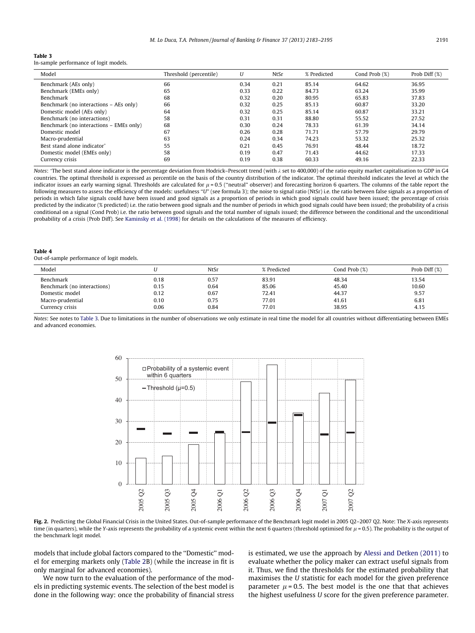<span id="page-8-0"></span>

| Table 3 |                                        |  |  |
|---------|----------------------------------------|--|--|
|         | In-sample performance of logit models. |  |  |

| Model                                   | Threshold (percentile) | U    | <b>NtSr</b> | % Predicted | Cond Prob (%) | Prob Diff (%) |
|-----------------------------------------|------------------------|------|-------------|-------------|---------------|---------------|
| Benchmark (AEs only)                    | 66                     | 0.34 | 0.21        | 85.14       | 64.62         | 36.95         |
| Benchmark (EMEs only)                   | 65                     | 0.33 | 0.22        | 84.73       | 63.24         | 35.99         |
| Benchmark                               | 68                     | 0.32 | 0.20        | 80.95       | 65.83         | 37.83         |
| Benchmark (no interactions - AEs only)  | 66                     | 0.32 | 0.25        | 85.13       | 60.87         | 33.20         |
| Domestic model (AEs only)               | 64                     | 0.32 | 0.25        | 85.14       | 60.87         | 33.21         |
| Benchmark (no interactions)             | 58                     | 0.31 | 0.31        | 88.80       | 55.52         | 27.52         |
| Benchmark (no interactions – EMEs only) | 68                     | 0.30 | 0.24        | 78.33       | 61.39         | 34.14         |
| Domestic model                          | 67                     | 0.26 | 0.28        | 71.71       | 57.79         | 29.79         |
| Macro-prudential                        | 63                     | 0.24 | 0.34        | 74.23       | 53.32         | 25.32         |
| Best stand alone indicator*             | 55                     | 0.21 | 0.45        | 76.91       | 48.44         | 18.72         |
| Domestic model (EMEs only)              | 58                     | 0.19 | 0.47        | 71.43       | 44.62         | 17.33         |
| Currency crisis                         | 69                     | 0.19 | 0.38        | 60.33       | 49.16         | 22.33         |

Notes: "The best stand alone indicator is the percentage deviation from Hodrick–Prescott trend (with  $\lambda$  set to 400,000) of the ratio equity market capitalisation to GDP in G4 countries. The optimal threshold is expressed as percentile on the basis of the country distribution of the indicator. The optimal threshold indicates the level at which the indicator issues an early warning signal. Thresholds are calculated for  $\mu$  = 0.5 ("neutral" observer) and forecasting horizon 6 quarters. The columns of the table report the following measures to assess the efficiency of the models: usefulness "U" (see formula 3); the noise to signal ratio (NtSr) i.e. the ratio between false signals as a proportion of periods in which false signals could have been issued and good signals as a proportion of periods in which good signals could have been issued; the percentage of crisis predicted by the indicator (% predicted) i.e. the ratio between good signals and the number of periods in which good signals could have been issued; the probability of a crisis conditional on a signal (Cond Prob) i.e. the ratio between good signals and the total number of signals issued; the difference between the conditional and the unconditional probability of a crisis (Prob Diff). See [Kaminsky et al. \(1998\)](#page-12-0) for details on the calculations of the measures of efficiency.

## Table 4

Out-of-sample performance of logit models.

| Model                       |      | <b>NtSr</b> | % Predicted | Cond Prob (%) | Prob Diff (%) |
|-----------------------------|------|-------------|-------------|---------------|---------------|
| Benchmark                   | 0.18 | 0.57        | 83.91       | 48.34         | 13.54         |
| Benchmark (no interactions) | 0.15 | 0.64        | 85.06       | 45.40         | 10.60         |
| Domestic model              | 0.12 | 0.67        | 72.41       | 44.37         | 9.57          |
| Macro-prudential            | 0.10 | 0.75        | 77.01       | 41.61         | 6.81          |
| Currency crisis             | 0.06 | 0.84        | 77.01       | 38.95         | 4.15          |

Notes: See notes to Table 3. Due to limitations in the number of observations we only estimate in real time the model for all countries without differentiating between EMEs and advanced economies.



Fig. 2. Predicting the Global Financial Crisis in the United States. Out-of-sample performance of the Benchmark logit model in 2005 Q2-2007 Q2. Note: The X-axis represents time (in quarters), while the Y-axis represents the probability of a systemic event within the next 6 quarters (threshold optimised for  $\mu$  = 0.5). The probability is the output of the benchmark logit model.

models that include global factors compared to the ''Domestic'' model for emerging markets only [\(Table 2](#page-7-0)B) (while the increase in fit is only marginal for advanced economies).

We now turn to the evaluation of the performance of the models in predicting systemic events. The selection of the best model is done in the following way: once the probability of financial stress is estimated, we use the approach by [Alessi and Detken \(2011\)](#page-12-0) to evaluate whether the policy maker can extract useful signals from it. Thus, we find the thresholds for the estimated probability that maximises the U statistic for each model for the given preference parameter  $\mu$  = 0.5. The best model is the one that that achieves the highest usefulness U score for the given preference parameter.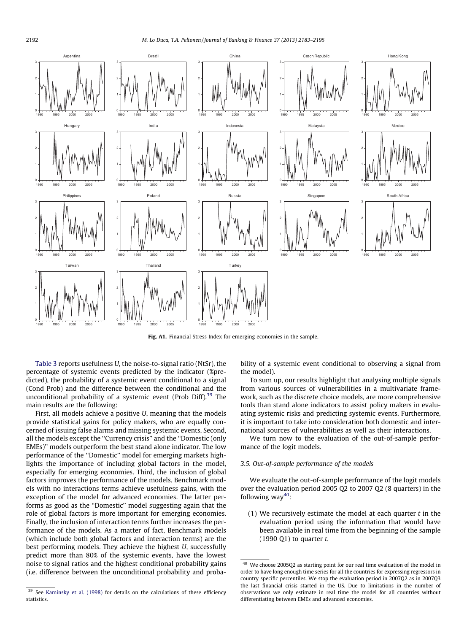<span id="page-9-0"></span>

Fig. A1. Financial Stress Index for emerging economies in the sample.

[Table 3](#page-8-0) reports usefulness U, the noise-to-signal ratio (NtSr), the percentage of systemic events predicted by the indicator (%predicted), the probability of a systemic event conditional to a signal (Cond Prob) and the difference between the conditional and the unconditional probability of a systemic event (Prob Diff).<sup>39</sup> The main results are the following:

First, all models achieve a positive U, meaning that the models provide statistical gains for policy makers, who are equally concerned of issuing false alarms and missing systemic events. Second, all the models except the ''Currency crisis'' and the ''Domestic (only EMEs)'' models outperform the best stand alone indicator. The low performance of the ''Domestic'' model for emerging markets highlights the importance of including global factors in the model, especially for emerging economies. Third, the inclusion of global factors improves the performance of the models. Benchmark models with no interactions terms achieve usefulness gains, with the exception of the model for advanced economies. The latter performs as good as the ''Domestic'' model suggesting again that the role of global factors is more important for emerging economies. Finally, the inclusion of interaction terms further increases the performance of the models. As a matter of fact, Benchmark models (which include both global factors and interaction terms) are the best performing models. They achieve the highest U, successfully predict more than 80% of the systemic events, have the lowest noise to signal ratios and the highest conditional probability gains (i.e. difference between the unconditional probability and probability of a systemic event conditional to observing a signal from the model).

To sum up, our results highlight that analysing multiple signals from various sources of vulnerabilities in a multivariate framework, such as the discrete choice models, are more comprehensive tools than stand alone indicators to assist policy makers in evaluating systemic risks and predicting systemic events. Furthermore, it is important to take into consideration both domestic and international sources of vulnerabilities as well as their interactions.

We turn now to the evaluation of the out-of-sample performance of the logit models.

## 3.5. Out-of-sample performance of the models

We evaluate the out-of-sample performance of the logit models over the evaluation period 2005 Q2 to 2007 Q2 (8 quarters) in the following way $40$ :

(1) We recursively estimate the model at each quarter  $t$  in the evaluation period using the information that would have been available in real time from the beginning of the sample  $(1990 \tQ1)$  to quarter t.

<sup>&</sup>lt;sup>39</sup> See [Kaminsky et al. \(1998\)](#page-12-0) for details on the calculations of these efficiency statistics.

 $^{40}\,$  We choose 2005Q2 as starting point for our real time evaluation of the model in order to have long enough time series for all the countries for expressing regressors in country specific percentiles. We stop the evaluation period in 2007Q2 as in 2007Q3 the last financial crisis started in the US. Due to limitations in the number of observations we only estimate in real time the model for all countries without differentiating between EMEs and advanced economies.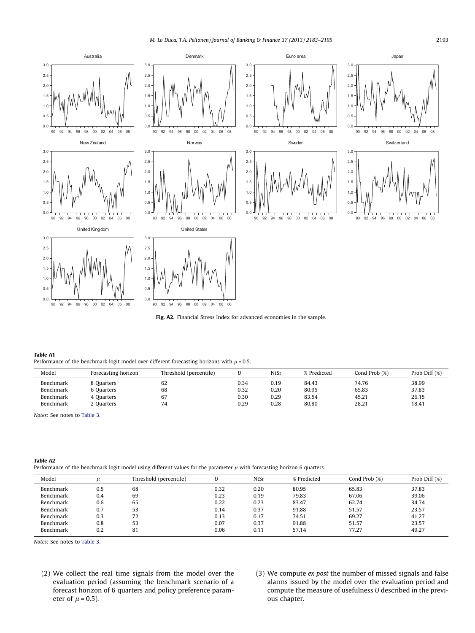<span id="page-10-0"></span>

Fig. A2. Financial Stress Index for advanced economies in the sample.

| <b>Table A1</b>                                                                                |  |
|------------------------------------------------------------------------------------------------|--|
| Performance of the benchmark logit model over different forecasting horizons with $\mu$ = 0.5. |  |

| Model     | Forecasting horizon | Threshold (percentile) |      | NtSr | % Predicted | Cond Prob (%) | Prob Diff (%) |
|-----------|---------------------|------------------------|------|------|-------------|---------------|---------------|
| Benchmark | 8 Ouarters          | 62                     | 0.34 | 0.19 | 84.43       | 74.76         | 38.99         |
| Benchmark | 6 Quarters          | 68                     | 0.32 | 0.20 | 80.95       | 65.83         | 37.83         |
| Benchmark | 4 Quarters          | 67                     | 0.30 | 0.29 | 83.54       | 45.21         | 26.15         |
| Benchmark | Ouarters            | 74                     | 0.29 | 0.28 | 80.80       | 28.21         | 18.41         |

Notes: See notes to [Table 3](#page-8-0).

Table A2

|  | Performance of the benchmark logit model using different values for the parameter $\mu$ with forecasting horizon 6 quarters. |  |
|--|------------------------------------------------------------------------------------------------------------------------------|--|
|  |                                                                                                                              |  |

| Model     |     | Threshold (percentile) |      | <b>NtSr</b> | % Predicted | Cond Prob (%) | Prob Diff (%) |
|-----------|-----|------------------------|------|-------------|-------------|---------------|---------------|
| Benchmark | 0.5 | 68                     | 0.32 | 0.20        | 80.95       | 65.83         | 37.83         |
| Benchmark | 0.4 | 69                     | 0.23 | 0.19        | 79.83       | 67.06         | 39.06         |
| Benchmark | 0.6 | 65                     | 0.22 | 0.23        | 83.47       | 62.74         | 34.74         |
| Benchmark | 0.7 | 53                     | 0.14 | 0.37        | 91.88       | 51.57         | 23.57         |
| Benchmark | 0.3 | 72                     | 0.13 | 0.17        | 74.51       | 69.27         | 41.27         |
| Benchmark | 0.8 | 53                     | 0.07 | 0.37        | 91.88       | 51.57         | 23.57         |
| Benchmark | 0.2 | 81                     | 0.06 | 0.11        | 57.14       | 77.27         | 49.27         |
|           |     |                        |      |             |             |               |               |

Notes: See notes to [Table 3](#page-8-0).

- (2) We collect the real time signals from the model over the evaluation period (assuming the benchmark scenario of a forecast horizon of 6 quarters and policy preference parameter of  $\mu$  = 0.5).
- (3) We compute ex post the number of missed signals and false alarms issued by the model over the evaluation period and compute the measure of usefulness U described in the previous chapter.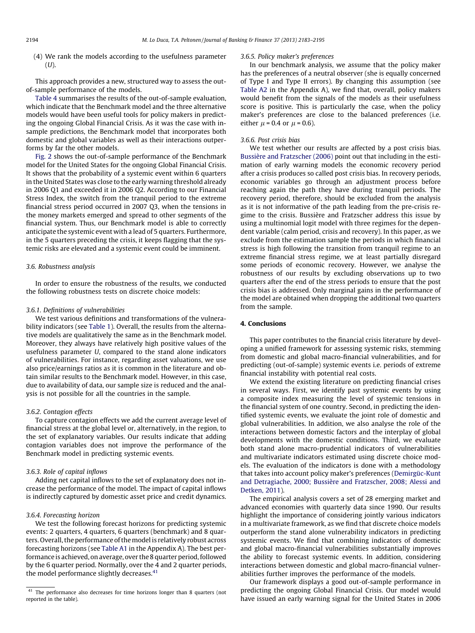(4) We rank the models according to the usefulness parameter  $(II)$ .

This approach provides a new, structured way to assess the outof-sample performance of the models.

[Table 4](#page-8-0) summarises the results of the out-of-sample evaluation, which indicate that the Benchmark model and the three alternative models would have been useful tools for policy makers in predicting the ongoing Global Financial Crisis. As it was the case with insample predictions, the Benchmark model that incorporates both domestic and global variables as well as their interactions outperforms by far the other models.

[Fig. 2](#page-8-0) shows the out-of-sample performance of the Benchmark model for the United States for the ongoing Global Financial Crisis. It shows that the probability of a systemic event within 6 quarters in the United States was close to the early warning threshold already in 2006 Q1 and exceeded it in 2006 Q2. According to our Financial Stress Index, the switch from the tranquil period to the extreme financial stress period occurred in 2007 Q3, when the tensions in the money markets emerged and spread to other segments of the financial system. Thus, our Benchmark model is able to correctly anticipate the systemic event with a lead of 5 quarters. Furthermore, in the 5 quarters preceding the crisis, it keeps flagging that the systemic risks are elevated and a systemic event could be imminent.

## 3.6. Robustness analysis

In order to ensure the robustness of the results, we conducted the following robustness tests on discrete choice models:

## 3.6.1. Definitions of vulnerabilities

We test various definitions and transformations of the vulnerability indicators (see [Table 1\)](#page-4-0). Overall, the results from the alternative models are qualitatively the same as in the Benchmark model. Moreover, they always have relatively high positive values of the usefulness parameter U, compared to the stand alone indicators of vulnerabilities. For instance, regarding asset valuations, we use also price/earnings ratios as it is common in the literature and obtain similar results to the Benchmark model. However, in this case, due to availability of data, our sample size is reduced and the analysis is not possible for all the countries in the sample.

## 3.6.2. Contagion effects

To capture contagion effects we add the current average level of financial stress at the global level or, alternatively, in the region, to the set of explanatory variables. Our results indicate that adding contagion variables does not improve the performance of the Benchmark model in predicting systemic events.

## 3.6.3. Role of capital inflows

Adding net capital inflows to the set of explanatory does not increase the performance of the model. The impact of capital inflows is indirectly captured by domestic asset price and credit dynamics.

## 3.6.4. Forecasting horizon

We test the following forecast horizons for predicting systemic events: 2 quarters, 4 quarters, 6 quarters (benchmark) and 8 quarters. Overall, the performance of the model is relatively robust across forecasting horizons (see [Table A1](#page-10-0) in the Appendix A). The best performance is achieved, on average, over the 8 quarter period, followed by the 6 quarter period. Normally, over the 4 and 2 quarter periods, the model performance slightly decreases.<sup>41</sup>

## 3.6.5. Policy maker's preferences

In our benchmark analysis, we assume that the policy maker has the preferences of a neutral observer (she is equally concerned of Type I and Type II errors). By changing this assumption (see [Table A2](#page-10-0) in the Appendix A), we find that, overall, policy makers would benefit from the signals of the models as their usefulness score is positive. This is particularly the case, when the policy maker's preferences are close to the balanced preferences (i.e. either  $\mu$  = 0.4 or  $\mu$  = 0.6).

## 3.6.6. Post crisis bias

We test whether our results are affected by a post crisis bias. [Bussière and Fratzscher \(2006\)](#page-12-0) point out that including in the estimation of early warning models the economic recovery period after a crisis produces so called post crisis bias. In recovery periods, economic variables go through an adjustment process before reaching again the path they have during tranquil periods. The recovery period, therefore, should be excluded from the analysis as it is not informative of the path leading from the pre-crisis regime to the crisis. Bussière and Fratzscher address this issue by using a multinomial logit model with three regimes for the dependent variable (calm period, crisis and recovery). In this paper, as we exclude from the estimation sample the periods in which financial stress is high following the transition from tranquil regime to an extreme financial stress regime, we at least partially disregard some periods of economic recovery. However, we analyse the robustness of our results by excluding observations up to two quarters after the end of the stress periods to ensure that the post crisis bias is addressed. Only marginal gains in the performance of the model are obtained when dropping the additional two quarters from the sample.

## 4. Conclusions

This paper contributes to the financial crisis literature by developing a unified framework for assessing systemic risks, stemming from domestic and global macro-financial vulnerabilities, and for predicting (out-of-sample) systemic events i.e. periods of extreme financial instability with potential real costs.

We extend the existing literature on predicting financial crises in several ways. First, we identify past systemic events by using a composite index measuring the level of systemic tensions in the financial system of one country. Second, in predicting the identified systemic events, we evaluate the joint role of domestic and global vulnerabilities. In addition, we also analyse the role of the interactions between domestic factors and the interplay of global developments with the domestic conditions. Third, we evaluate both stand alone macro-prudential indicators of vulnerabilities and multivariate indicators estimated using discrete choice models. The evaluation of the indicators is done with a methodology that takes into account policy maker's preferences [\(Demirgüc-Kunt](#page-12-0) [and Detragiache, 2000; Bussière and Fratzscher, 2008; Alessi and](#page-12-0) [Detken, 2011](#page-12-0)).

The empirical analysis covers a set of 28 emerging market and advanced economies with quarterly data since 1990. Our results highlight the importance of considering jointly various indicators in a multivariate framework, as we find that discrete choice models outperform the stand alone vulnerability indicators in predicting systemic events. We find that combining indicators of domestic and global macro-financial vulnerabilities substantially improves the ability to forecast systemic events. In addition, considering interactions between domestic and global macro-financial vulnerabilities further improves the performance of the models.

Our framework displays a good out-of-sample performance in predicting the ongoing Global Financial Crisis. Our model would have issued an early warning signal for the United States in 2006

<sup>41</sup> The performance also decreases for time horizons longer than 8 quarters (not reported in the table).